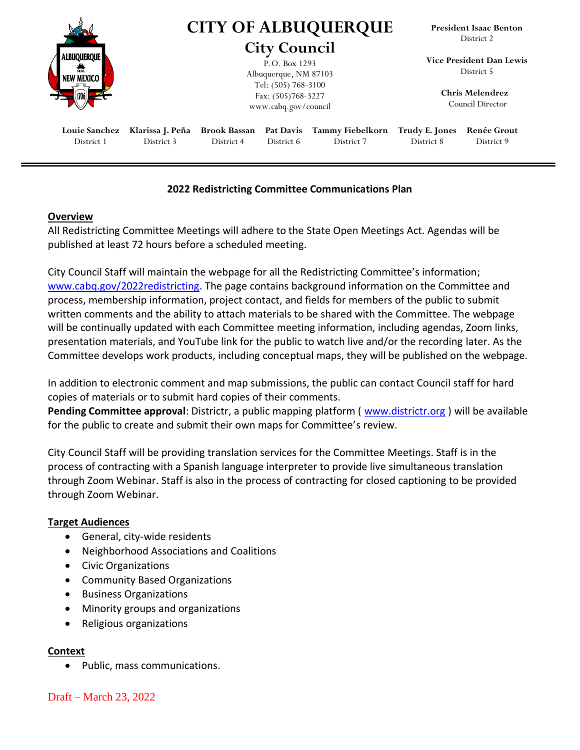|                           | <b>CITY OF ALBUQUERQUE</b><br><b>City Council</b>                                                           |  |  |  | <b>President Isaac Benton</b><br>District 2                                          |  |
|---------------------------|-------------------------------------------------------------------------------------------------------------|--|--|--|--------------------------------------------------------------------------------------|--|
| ALBUQUERQUI<br>NEW MEXICO | P.O. Box 1293<br>Albuquerque, NM 87103<br>Tel: (505) 768-3100<br>Fax: (505)768-3227<br>www.cabq.gov/council |  |  |  | Vice President Dan Lewis<br>District 5<br><b>Chris Melendrez</b><br>Council Director |  |
|                           |                                                                                                             |  |  |  |                                                                                      |  |

## **2022 Redistricting Committee Communications Plan**

### **Overview**

All Redistricting Committee Meetings will adhere to the State Open Meetings Act. Agendas will be published at least 72 hours before a scheduled meeting.

City Council Staff will maintain the webpage for all the Redistricting Committee's information; [www.cabq.gov/2022redistricting.](http://www.cabq.gov/2022redistricting) The page contains background information on the Committee and process, membership information, project contact, and fields for members of the public to submit written comments and the ability to attach materials to be shared with the Committee. The webpage will be continually updated with each Committee meeting information, including agendas, Zoom links, presentation materials, and YouTube link for the public to watch live and/or the recording later. As the Committee develops work products, including conceptual maps, they will be published on the webpage.

In addition to electronic comment and map submissions, the public can contact Council staff for hard copies of materials or to submit hard copies of their comments.

Pending Committee approval: Districtr, a public mapping platform ([www.districtr.org](http://www.districtr.org/)) will be available for the public to create and submit their own maps for Committee's review.

City Council Staff will be providing translation services for the Committee Meetings. Staff is in the process of contracting with a Spanish language interpreter to provide live simultaneous translation through Zoom Webinar. Staff is also in the process of contracting for closed captioning to be provided through Zoom Webinar.

### **Target Audiences**

- General, city-wide residents
- Neighborhood Associations and Coalitions
- Civic Organizations
- Community Based Organizations
- Business Organizations
- Minority groups and organizations
- Religious organizations

### **Context**

• Public, mass communications.

Draft – March 23, 2022